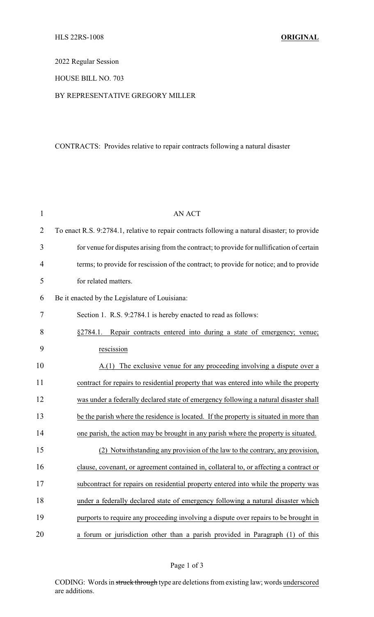2022 Regular Session

HOUSE BILL NO. 703

## BY REPRESENTATIVE GREGORY MILLER

## CONTRACTS: Provides relative to repair contracts following a natural disaster

| $\mathbf{1}$   | <b>AN ACT</b>                                                                                 |
|----------------|-----------------------------------------------------------------------------------------------|
| $\overline{2}$ | To enact R.S. 9:2784.1, relative to repair contracts following a natural disaster; to provide |
| 3              | for venue for disputes arising from the contract; to provide for nullification of certain     |
| 4              | terms; to provide for rescission of the contract; to provide for notice; and to provide       |
| 5              | for related matters.                                                                          |
| 6              | Be it enacted by the Legislature of Louisiana:                                                |
| 7              | Section 1. R.S. 9:2784.1 is hereby enacted to read as follows:                                |
| 8              | Repair contracts entered into during a state of emergency; venue;<br>§2784.1.                 |
| 9              | rescission                                                                                    |
| 10             | The exclusive venue for any proceeding involving a dispute over a<br>A(1)                     |
| 11             | contract for repairs to residential property that was entered into while the property         |
| 12             | was under a federally declared state of emergency following a natural disaster shall          |
| 13             | be the parish where the residence is located. If the property is situated in more than        |
| 14             | one parish, the action may be brought in any parish where the property is situated.           |
| 15             | (2) Notwithstanding any provision of the law to the contrary, any provision,                  |
| 16             | clause, covenant, or agreement contained in, collateral to, or affecting a contract or        |
| 17             | subcontract for repairs on residential property entered into while the property was           |
| 18             | under a federally declared state of emergency following a natural disaster which              |
| 19             | purports to require any proceeding involving a dispute over repairs to be brought in          |
| 20             | a forum or jurisdiction other than a parish provided in Paragraph (1) of this                 |

CODING: Words in struck through type are deletions from existing law; words underscored are additions.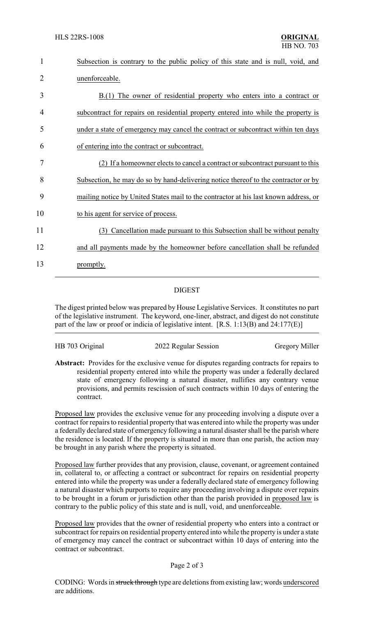| 1  | Subsection is contrary to the public policy of this state and is null, void, and     |
|----|--------------------------------------------------------------------------------------|
| 2  | unenforceable.                                                                       |
| 3  | $B(1)$ The owner of residential property who enters into a contract or               |
| 4  | subcontract for repairs on residential property entered into while the property is   |
| 5  | under a state of emergency may cancel the contract or subcontract within ten days    |
| 6  | of entering into the contract or subcontract.                                        |
| 7  | (2) If a homeowner elects to cancel a contract or subcontract pursuant to this       |
| 8  | Subsection, he may do so by hand-delivering notice thereof to the contractor or by   |
| 9  | mailing notice by United States mail to the contractor at his last known address, or |
| 10 | to his agent for service of process.                                                 |
| 11 | Cancellation made pursuant to this Subsection shall be without penalty<br>(3)        |
| 12 | and all payments made by the homeowner before cancellation shall be refunded         |
| 13 | promptly.                                                                            |
|    |                                                                                      |

## DIGEST

The digest printed below was prepared by House Legislative Services. It constitutes no part of the legislative instrument. The keyword, one-liner, abstract, and digest do not constitute part of the law or proof or indicia of legislative intent. [R.S. 1:13(B) and 24:177(E)]

|  | HB 703 Original |  |
|--|-----------------|--|
|  |                 |  |

2022 Regular Session Gregory Miller

**Abstract:** Provides for the exclusive venue for disputes regarding contracts for repairs to residential property entered into while the property was under a federally declared state of emergency following a natural disaster, nullifies any contrary venue provisions, and permits rescission of such contracts within 10 days of entering the contract.

Proposed law provides the exclusive venue for any proceeding involving a dispute over a contract for repairs to residential property that was entered into while the propertywas under a federally declared state of emergency following a natural disaster shall be the parish where the residence is located. If the property is situated in more than one parish, the action may be brought in any parish where the property is situated.

Proposed law further provides that any provision, clause, covenant, or agreement contained in, collateral to, or affecting a contract or subcontract for repairs on residential property entered into while the property was under a federally declared state of emergency following a natural disaster which purports to require any proceeding involving a dispute over repairs to be brought in a forum or jurisdiction other than the parish provided in proposed law is contrary to the public policy of this state and is null, void, and unenforceable.

Proposed law provides that the owner of residential property who enters into a contract or subcontract for repairs on residential property entered into while the property is under a state of emergency may cancel the contract or subcontract within 10 days of entering into the contract or subcontract.